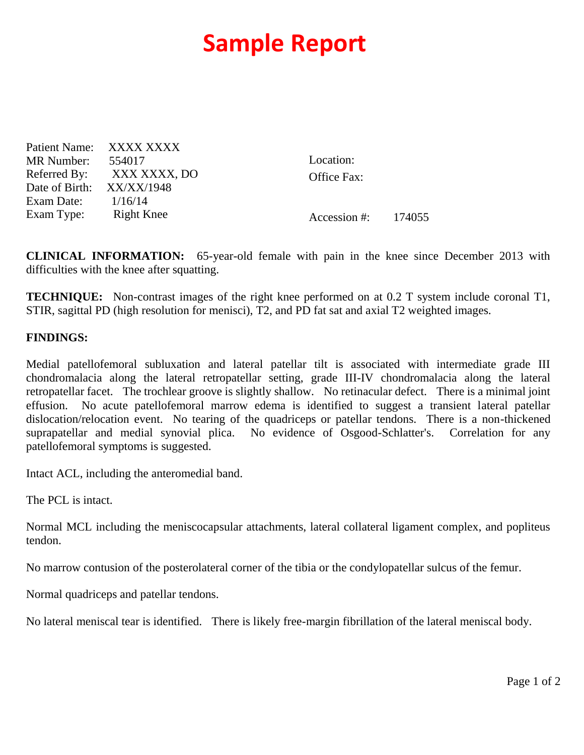## **Sample Report**

Patient Name: XXXX XXXX MR Number: 554017 Referred By: XXX XXXX, DO Date of Birth: XX/XX/1948 Exam Date: 1/16/14 Exam Type: Right Knee

Location: Office Fax:

Accession #: 174055

**CLINICAL INFORMATION:** 65-year-old female with pain in the knee since December 2013 with difficulties with the knee after squatting.

**TECHNIQUE:** Non-contrast images of the right knee performed on at 0.2 T system include coronal T1, STIR, sagittal PD (high resolution for menisci), T2, and PD fat sat and axial T2 weighted images.

## **FINDINGS:**

Medial patellofemoral subluxation and lateral patellar tilt is associated with intermediate grade III chondromalacia along the lateral retropatellar setting, grade III-IV chondromalacia along the lateral retropatellar facet. The trochlear groove is slightly shallow. No retinacular defect. There is a minimal joint effusion. No acute patellofemoral marrow edema is identified to suggest a transient lateral patellar dislocation/relocation event. No tearing of the quadriceps or patellar tendons. There is a non-thickened suprapatellar and medial synovial plica. No evidence of Osgood-Schlatter's. Correlation for any patellofemoral symptoms is suggested.

Intact ACL, including the anteromedial band.

The PCL is intact.

Normal MCL including the meniscocapsular attachments, lateral collateral ligament complex, and popliteus tendon.

No marrow contusion of the posterolateral corner of the tibia or the condylopatellar sulcus of the femur.

Normal quadriceps and patellar tendons.

No lateral meniscal tear is identified. There is likely free-margin fibrillation of the lateral meniscal body.